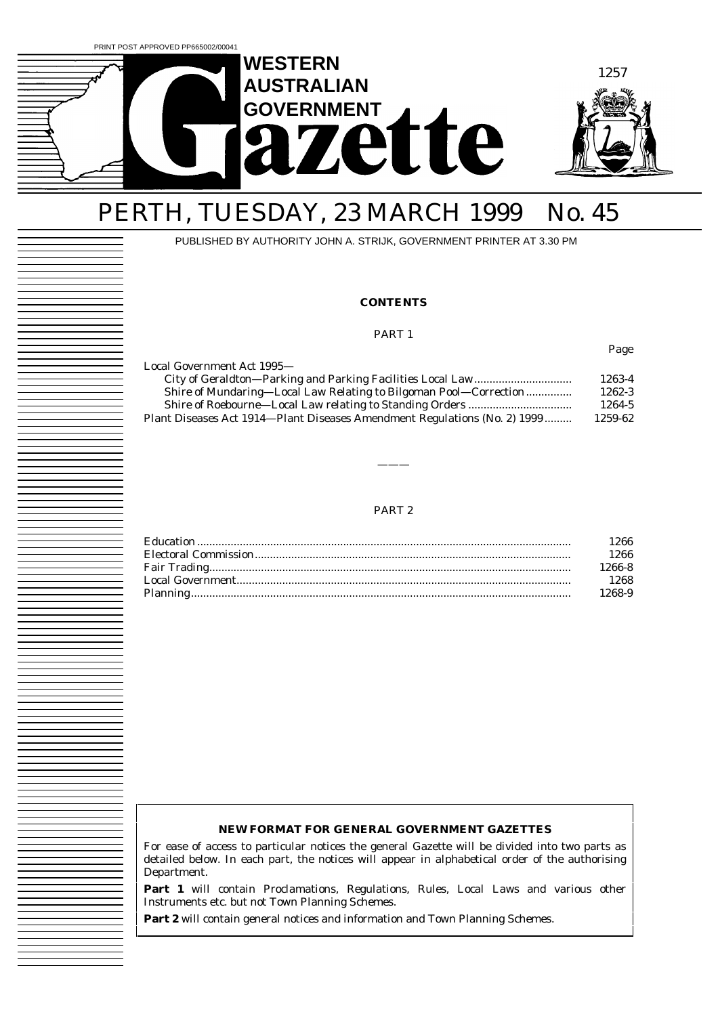

## PERTH, TUESDAY, 23 MARCH 1999 No. 45

PUBLISHED BY AUTHORITY JOHN A. STRIJK, GOVERNMENT PRINTER AT 3.30 PM

### **CONTENTS**

#### PART 1

|--|

| 1263-4  |
|---------|
| 1262-3  |
| 1264-5  |
| 1259-62 |
|         |

#### PART 2

———

| l 266  |
|--------|
| 1266   |
| 1266-8 |
| 1268   |
| 1268-9 |

#### **NEW FORMAT FOR GENERAL GOVERNMENT GAZETTES**

For ease of access to particular notices the general Gazette will be divided into two parts as detailed below. In each part, the notices will appear in alphabetical order of the authorising Department.

**Part 1** will contain Proclamations, Regulations, Rules, Local Laws and various other Instruments etc. but not Town Planning Schemes.

Part 2 will contain general notices and information and Town Planning Schemes.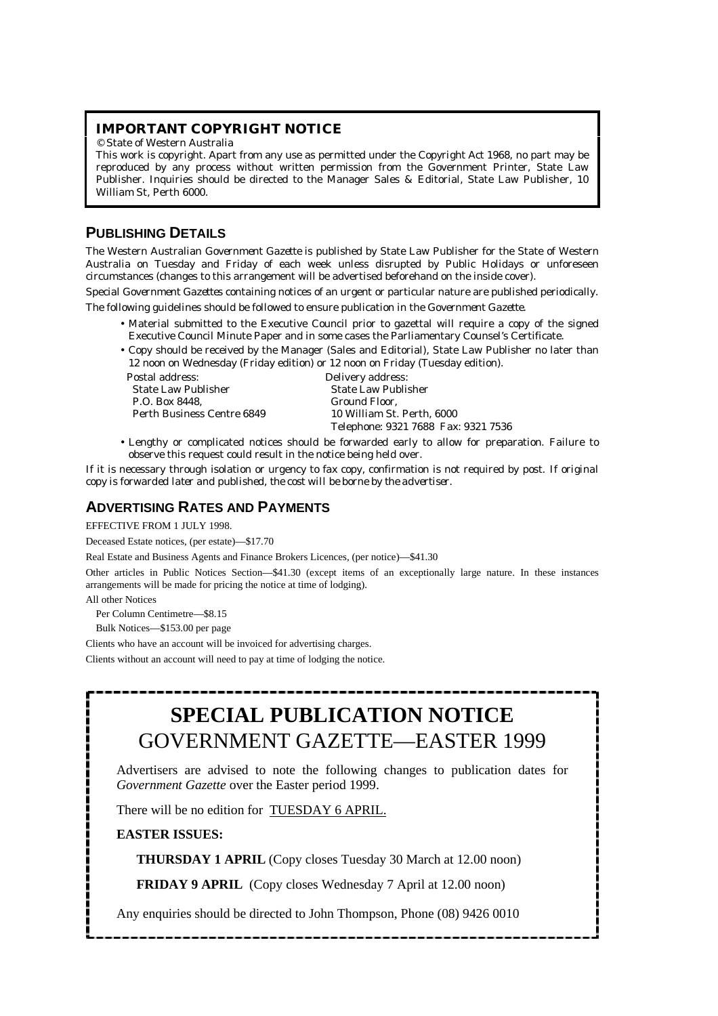### **IMPORTANT COPYRIGHT NOTICE**

© State of Western Australia

This work is copyright. Apart from any use as permitted under the *Copyright Act 1968*, no part may be reproduced by any process without written permission from the Government Printer, State Law Publisher. Inquiries should be directed to the Manager Sales & Editorial, State Law Publisher, 10 William St, Perth 6000.

## **PUBLISHING DETAILS**

The Western Australian *Government Gazette* is published by State Law Publisher for the State of Western Australia on Tuesday and Friday of each week unless disrupted by Public Holidays or unforeseen circumstances (changes to this arrangement will be advertised beforehand on the inside cover).

Special *Government Gazettes* containing notices of an urgent or particular nature are published periodically. The following guidelines should be followed to ensure publication in the *Government Gazette*.

- Material submitted to the Executive Council prior to gazettal will require a copy of the signed Executive Council Minute Paper and in some cases the Parliamentary Counsel's Certificate.
- Copy should be received by the Manager (Sales and Editorial), State Law Publisher no later than 12 noon on Wednesday (Friday edition) or 12 noon on Friday (Tuesday edition).

Postal address: Delivery address: State Law Publisher State Law Publisher P.O. Box 8448, Perth Business Centre 6849 10 William St. Perth, 6000

Telephone: 9321 7688 Fax: 9321 7536

• Lengthy or complicated notices should be forwarded early to allow for preparation. Failure to observe this request could result in the notice being held over.

If it is necessary through isolation or urgency to fax copy, confirmation is not required by post. *If original copy is forwarded later and published, the cost will be borne by the advertiser.*

## **ADVERTISING RATES AND PAYMENTS**

EFFECTIVE FROM 1 JULY 1998.

Deceased Estate notices, (per estate)—\$17.70

Real Estate and Business Agents and Finance Brokers Licences, (per notice)—\$41.30

Other articles in Public Notices Section—\$41.30 (except items of an exceptionally large nature. In these instances arrangements will be made for pricing the notice at time of lodging).

All other Notices

Per Column Centimetre—\$8.15

Bulk Notices—\$153.00 per page

Clients who have an account will be invoiced for advertising charges.

Clients without an account will need to pay at time of lodging the notice.

## **SPECIAL PUBLICATION NOTICE** GOVERNMENT GAZETTE—EASTER 1999

Advertisers are advised to note the following changes to publication dates for *Government Gazette* over the Easter period 1999.

There will be no edition for TUESDAY 6 APRIL.

### **EASTER ISSUES:**

 **THURSDAY 1 APRIL** (Copy closes Tuesday 30 March at 12.00 noon)

 **FRIDAY 9 APRIL** (Copy closes Wednesday 7 April at 12.00 noon)

Any enquiries should be directed to John Thompson, Phone (08) 9426 0010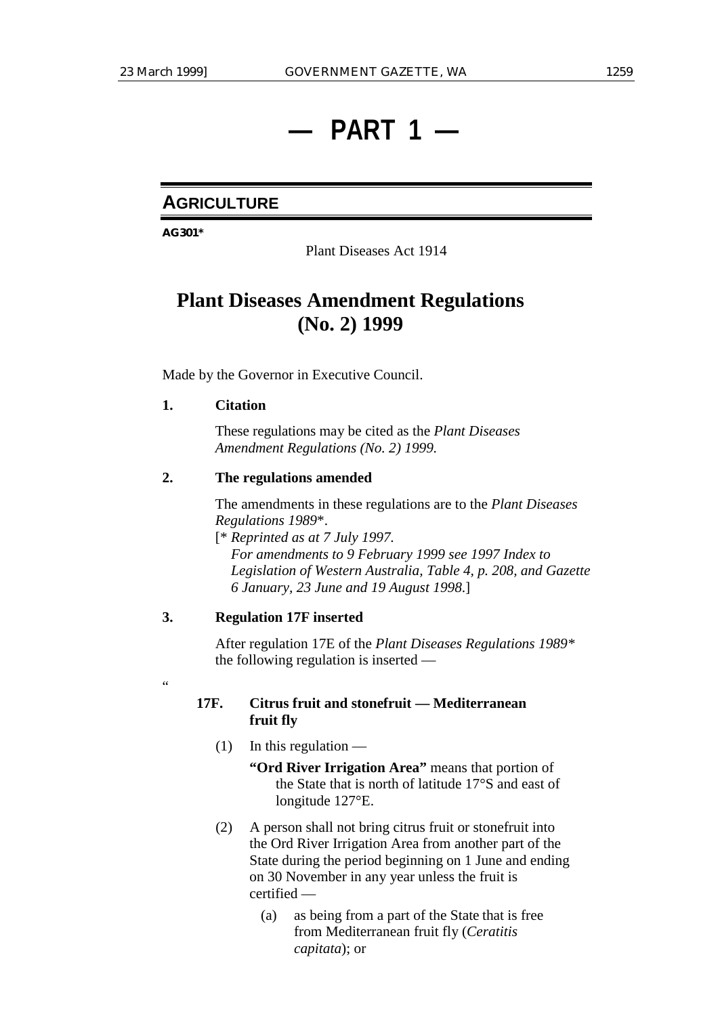## **— PART 1 —**

## **AGRICULTURE**

**AG301\***

Plant Diseases Act 1914

## **Plant Diseases Amendment Regulations (No. 2) 1999**

Made by the Governor in Executive Council.

### **1. Citation**

"

These regulations may be cited as the *Plant Diseases Amendment Regulations (No. 2) 1999.*

### **2. The regulations amended**

The amendments in these regulations are to the *Plant Diseases Regulations 1989*\*.

[\* *Reprinted as at 7 July 1997. For amendments to 9 February 1999 see 1997 Index to Legislation of Western Australia, Table 4, p. 208, and Gazette 6 January, 23 June and 19 August 1998*.]

## **3. Regulation 17F inserted**

After regulation 17E of the *Plant Diseases Regulations 1989\** the following regulation is inserted —

### **17F. Citrus fruit and stonefruit — Mediterranean fruit fly**

 $(1)$  In this regulation —

**"Ord River Irrigation Area"** means that portion of the State that is north of latitude 17°S and east of longitude 127°E.

- (2) A person shall not bring citrus fruit or stonefruit into the Ord River Irrigation Area from another part of the State during the period beginning on 1 June and ending on 30 November in any year unless the fruit is certified —
	- (a) as being from a part of the State that is free from Mediterranean fruit fly (*Ceratitis capitata*); or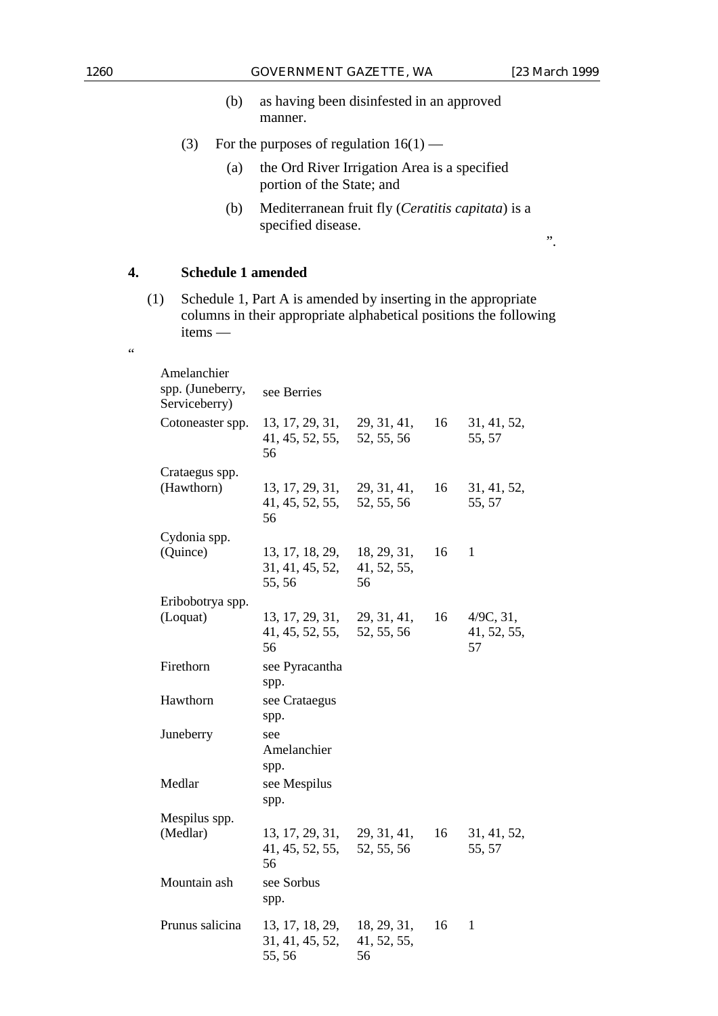"

- (b) as having been disinfested in an approved manner.
- (3) For the purposes of regulation  $16(1)$ 
	- (a) the Ord River Irrigation Area is a specified portion of the State; and
	- (b) Mediterranean fruit fly (*Ceratitis capitata*) is a specified disease.

".

## **4. Schedule 1 amended**

(1) Schedule 1, Part A is amended by inserting in the appropriate columns in their appropriate alphabetical positions the following items —

| Amelanchier<br>spp. (Juneberry,<br>Serviceberry) | see Berries                                 |                                  |    |                                |
|--------------------------------------------------|---------------------------------------------|----------------------------------|----|--------------------------------|
| Cotoneaster spp.                                 | 13, 17, 29, 31,<br>41, 45, 52, 55,<br>56    | 29, 31, 41,<br>52, 55, 56        | 16 | 31, 41, 52,<br>55, 57          |
| Crataegus spp.<br>(Hawthorn)                     | 13, 17, 29, 31,<br>41, 45, 52, 55,<br>56    | 29, 31, 41,<br>52, 55, 56        | 16 | 31, 41, 52,<br>55, 57          |
| Cydonia spp.<br>(Quince)                         | 13, 17, 18, 29,<br>31, 41, 45, 52,<br>55,56 | 18, 29, 31,<br>41, 52, 55,<br>56 | 16 | 1                              |
| Eribobotrya spp.<br>(Loquat)                     | 13, 17, 29, 31,<br>41, 45, 52, 55,<br>56    | 29, 31, 41,<br>52, 55, 56        | 16 | 4/9C, 31,<br>41, 52, 55,<br>57 |
| Firethorn                                        | see Pyracantha<br>spp.                      |                                  |    |                                |
| Hawthorn                                         | see Crataegus<br>spp.                       |                                  |    |                                |
| Juneberry                                        | see<br>Amelanchier<br>spp.                  |                                  |    |                                |
| Medlar                                           | see Mespilus<br>spp.                        |                                  |    |                                |
| Mespilus spp.<br>(Medlar)                        | 13, 17, 29, 31,<br>41, 45, 52, 55,<br>56    | 29, 31, 41,<br>52, 55, 56        | 16 | 31, 41, 52,<br>55, 57          |
| Mountain ash                                     | see Sorbus<br>spp.                          |                                  |    |                                |
| Prunus salicina                                  | 13, 17, 18, 29,<br>31, 41, 45, 52,<br>55,56 | 18, 29, 31,<br>41, 52, 55,<br>56 | 16 | $\mathbf{1}$                   |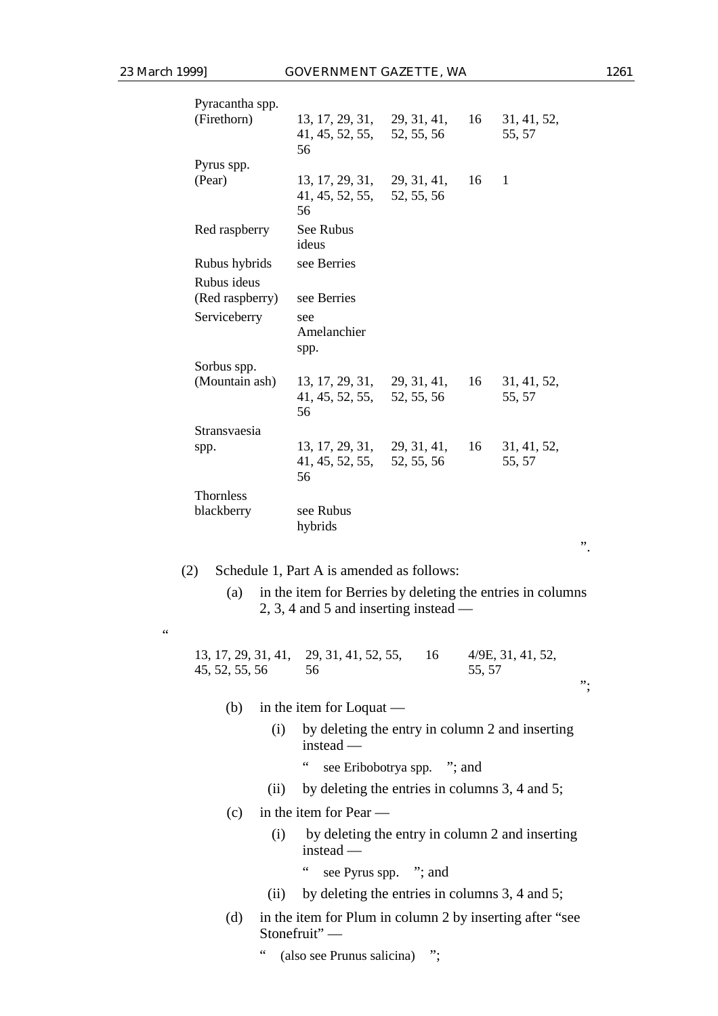"

| Pyracantha spp.                |                                                                 |                           |    |                       |
|--------------------------------|-----------------------------------------------------------------|---------------------------|----|-----------------------|
| (Firethorn)                    | 13, 17, 29, 31, 29, 31, 41,<br>41, 45, 52, 55, 52, 55, 56<br>56 |                           | 16 | 31, 41, 52,<br>55, 57 |
| Pyrus spp.                     |                                                                 |                           |    |                       |
| (Pear)                         | 13, 17, 29, 31,<br>41, 45, 52, 55,<br>56                        | 29, 31, 41,<br>52, 55, 56 | 16 | 1                     |
| Red raspberry                  | See Rubus<br>ideus                                              |                           |    |                       |
| Rubus hybrids                  | see Berries                                                     |                           |    |                       |
| Rubus ideus<br>(Red raspberry) | see Berries                                                     |                           |    |                       |
| Serviceberry                   | see<br>Amelanchier<br>spp.                                      |                           |    |                       |
| Sorbus spp.                    |                                                                 |                           |    |                       |
| (Mountain ash)                 | 13, 17, 29, 31, 29, 31, 41,<br>41, 45, 52, 55, 52, 55, 56<br>56 |                           | 16 | 31, 41, 52,<br>55, 57 |
| Stransvaesia                   |                                                                 |                           |    |                       |
| spp.                           | 13, 17, 29, 31, 29, 31, 41,<br>41, 45, 52, 55, 52, 55, 56<br>56 |                           | 16 | 31, 41, 52,<br>55, 57 |
| <b>Thornless</b>               |                                                                 |                           |    |                       |
| blackberry                     | see Rubus<br>hybrids                                            |                           |    |                       |

(a) in the item for Berries by deleting the entries in columns 2, 3, 4 and 5 and inserting instead —

13, 17, 29, 31, 41, 45, 52, 55, 56 29, 31, 41, 52, 55, 56 16 4/9E, 31, 41, 52, 55, 57

- (b) in the item for Loquat
	- (i) by deleting the entry in column 2 and inserting instead —
		- " see Eribobotrya spp. "; and
	- (ii) by deleting the entries in columns 3, 4 and 5;
- (c) in the item for Pear
	- (i) by deleting the entry in column 2 and inserting instead —
		- " see Pyrus spp. "; and
	- (ii) by deleting the entries in columns 3, 4 and 5;
- (d) in the item for Plum in column 2 by inserting after "see Stonefruit" —
	- " (also see Prunus salicina) ";

".

";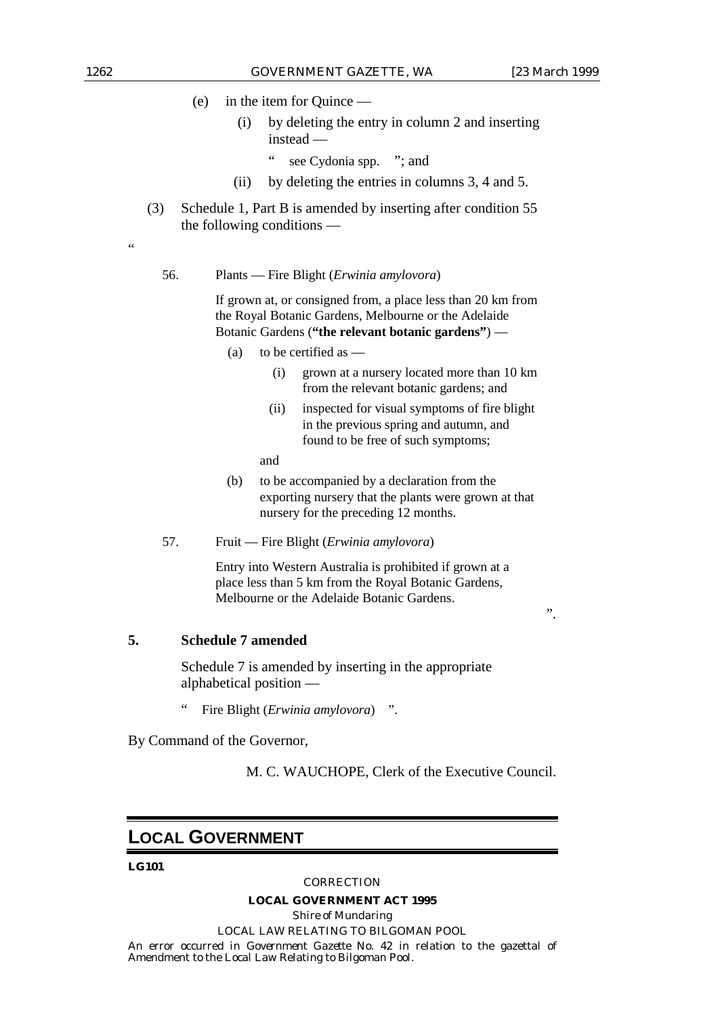- (e) in the item for Quince
	- (i) by deleting the entry in column 2 and inserting instead —
		- " see Cydonia spp. "; and
	- (ii) by deleting the entries in columns 3, 4 and 5.
- (3) Schedule 1, Part B is amended by inserting after condition 55 the following conditions —

.<br>د د

56. Plants — Fire Blight (*Erwinia amylovora*)

If grown at, or consigned from, a place less than 20 km from the Royal Botanic Gardens, Melbourne or the Adelaide Botanic Gardens (**"the relevant botanic gardens"**) —

- (a) to be certified as
	- (i) grown at a nursery located more than 10 km from the relevant botanic gardens; and
	- (ii) inspected for visual symptoms of fire blight in the previous spring and autumn, and found to be free of such symptoms;

and

- (b) to be accompanied by a declaration from the exporting nursery that the plants were grown at that nursery for the preceding 12 months.
- 57. Fruit Fire Blight (*Erwinia amylovora*)

Entry into Western Australia is prohibited if grown at a place less than 5 km from the Royal Botanic Gardens, Melbourne or the Adelaide Botanic Gardens.

".

## **5. Schedule 7 amended**

Schedule 7 is amended by inserting in the appropriate alphabetical position —

" Fire Blight (*Erwinia amylovora*) ".

By Command of the Governor,

M. C. WAUCHOPE, Clerk of the Executive Council.

## **LOCAL GOVERNMENT**

#### **LG101**

#### *CORRECTION*

#### **LOCAL GOVERNMENT ACT 1995**

*Shire of Mundaring* LOCAL LAW RELATING TO BILGOMAN POOL An error occurred in *Government Gazette* No. 42 in relation to the gazettal of Amendment to the Local Law Relating to Bilgoman Pool.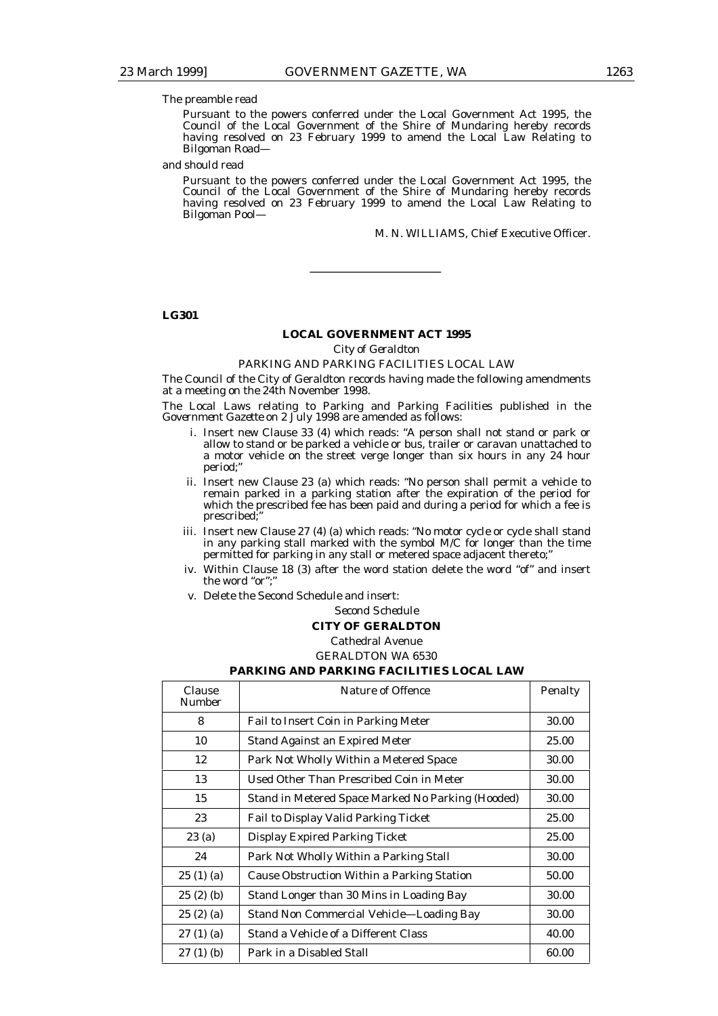#### The preamble read

Pursuant to the powers conferred under the Local Government Act 1995, the Council of the Local Government of the Shire of Mundaring hereby records having resolved on 23 February 1999 to amend the Local Law Relating to Bilgoman Road—

#### and should read

Pursuant to the powers conferred under the Local Government Act 1995, the Council of the Local Government of the Shire of Mundaring hereby records having resolved on 23 February 1999 to amend the Local Law Relating to Bilgoman Pool—

M. N. WILLIAMS, Chief Executive Officer.

#### **LG301**

#### **LOCAL GOVERNMENT ACT 1995**

*City of Geraldton*

#### PARKING AND PARKING FACILITIES LOCAL LAW

The Council of the City of Geraldton records having made the following amendments at a meeting on the 24th November 1998.

The Local Laws relating to Parking and Parking Facilities published in the *Government Gazette* on 2 July 1998 are amended as follows:

- i. Insert new Clause 33 (4) which reads: "A person shall not stand or park or allow to stand or be parked a vehicle or bus, trailer or caravan unattached to a motor vehicle on the street verge longer than six hours in any 24 hour period;
- ii. Insert new Clause 23 (a) which reads: "No person shall permit a vehicle to remain parked in a parking station after the expiration of the period for which the prescribed fee has been paid and during a period for which a fee is prescribed;"
- iii. Insert new Clause 27 (4) (a) which reads: "No motor cycle or cycle shall stand in any parking stall marked with the symbol M/C for longer than the time permitted for parking in any stall or metered space adjacent thereto;"
- iv. Within Clause 18 (3) after the word station delete the word "of" and insert the word "or";
- v. Delete the Second Schedule and insert:

#### *Second Schedule*

#### **CITY OF GERALDTON**

Cathedral Avenue

GERALDTON WA 6530

#### **PARKING AND PARKING FACILITIES LOCAL LAW**

| Clause<br><b>Number</b> | <b>Nature of Offence</b>                          | Penalty |
|-------------------------|---------------------------------------------------|---------|
| 8                       | Fail to Insert Coin in Parking Meter              | 30.00   |
| 10                      | <b>Stand Against an Expired Meter</b>             | 25.00   |
| 12                      | Park Not Wholly Within a Metered Space            | 30.00   |
| 13                      | Used Other Than Prescribed Coin in Meter          | 30.00   |
| 15                      | Stand in Metered Space Marked No Parking (Hooded) | 30.00   |
| 23                      | <b>Fail to Display Valid Parking Ticket</b>       | 25.00   |
| 23(a)                   | <b>Display Expired Parking Ticket</b>             | 25.00   |
| 24                      | Park Not Wholly Within a Parking Stall            | 30.00   |
| 25(1)(a)                | Cause Obstruction Within a Parking Station        | 50.00   |
| 25(2)(b)                | Stand Longer than 30 Mins in Loading Bay          | 30.00   |
| 25(2)(a)                | <b>Stand Non Commercial Vehicle—Loading Bay</b>   | 30.00   |
| 27(1)(a)                | Stand a Vehicle of a Different Class              | 40.00   |
| $27(1)$ (b)             | Park in a Disabled Stall                          | 60.00   |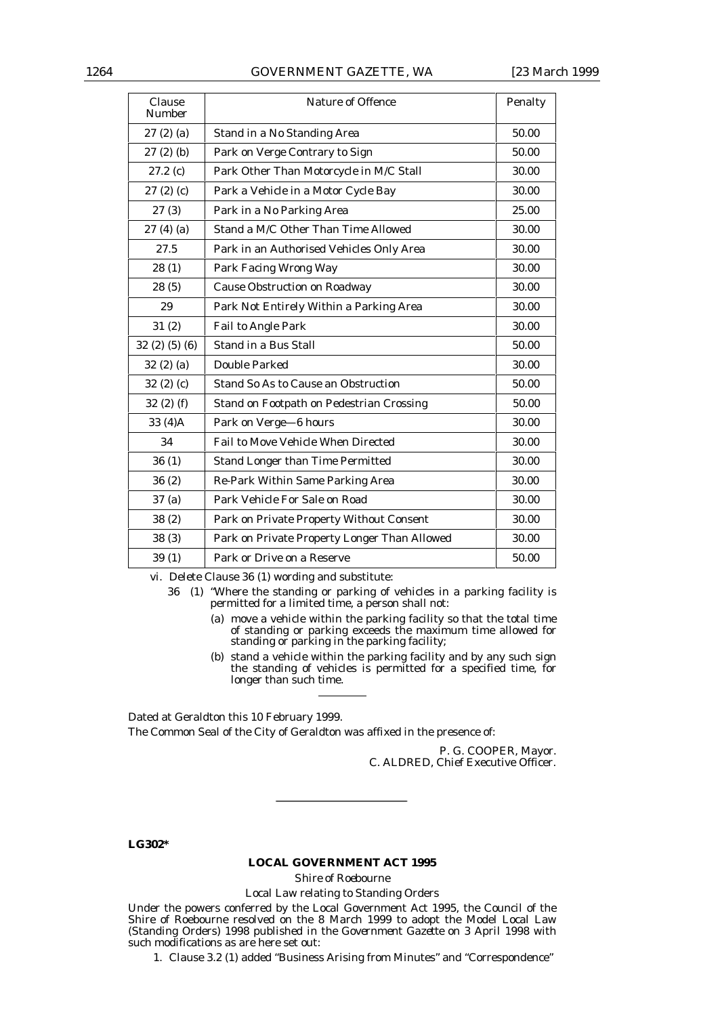### 1264 GOVERNMENT GAZETTE, WA [23 March 1999

| Clause<br><b>Number</b> | <b>Nature of Offence</b>                     | Penalty |
|-------------------------|----------------------------------------------|---------|
| 27(2)(a)                | Stand in a No Standing Area                  | 50.00   |
| 27(2)(b)                | Park on Verge Contrary to Sign               | 50.00   |
| 27.2(c)                 | Park Other Than Motorcycle in M/C Stall      | 30.00   |
| 27(2)(c)                | Park a Vehicle in a Motor Cycle Bay          | 30.00   |
| 27(3)                   | Park in a No Parking Area                    | 25.00   |
| 27(4)(a)                | Stand a M/C Other Than Time Allowed          | 30.00   |
| 27.5                    | Park in an Authorised Vehicles Only Area     | 30.00   |
| 28(1)                   | Park Facing Wrong Way                        | 30.00   |
| 28(5)                   | <b>Cause Obstruction on Roadway</b>          | 30.00   |
| 29                      | Park Not Entirely Within a Parking Area      | 30.00   |
| 31(2)                   | Fail to Angle Park                           | 30.00   |
| 32(2)(5)(6)             | Stand in a Bus Stall                         | 50.00   |
| 32(2)(a)                | <b>Double Parked</b>                         | 30.00   |
| 32(2)(c)                | <b>Stand So As to Cause an Obstruction</b>   | 50.00   |
| 32(2) (f)               | Stand on Footpath on Pedestrian Crossing     | 50.00   |
| 33 (4)A                 | Park on Verge-6 hours                        | 30.00   |
| 34                      | <b>Fail to Move Vehicle When Directed</b>    | 30.00   |
| 36(1)                   | <b>Stand Longer than Time Permitted</b>      | 30.00   |
| 36(2)                   | Re-Park Within Same Parking Area             | 30.00   |
| 37 (a)                  | Park Vehicle For Sale on Road                | 30.00   |
| 38(2)                   | Park on Private Property Without Consent     | 30.00   |
| 38(3)                   | Park on Private Property Longer Than Allowed | 30.00   |
| 39(1)                   | Park or Drive on a Reserve                   | 50.00   |

vi. Delete Clause 36 (1) wording and substitute:

36 (1) "Where the standing or parking of vehicles in a parking facility is permitted for a limited time, a person shall not:

- (a) move a vehicle within the parking facility so that the total time of standing or parking exceeds the maximum time allowed for standing or parking in the parking facility;
- (b) stand a vehicle within the parking facility and by any such sign the standing of vehicles is permitted for a specified time, for longer than such time.

Dated at Geraldton this 10 February 1999. The Common Seal of the City of Geraldton was affixed in the presence of:

> P. G. COOPER, Mayor. C. ALDRED, Chief Executive Officer.

**LG302\***

#### **LOCAL GOVERNMENT ACT 1995**

*Shire of Roebourne*

#### Local Law relating to Standing Orders

Under the powers conferred by the Local Government Act 1995, the Council of the Shire of Roebourne resolved on the 8 March 1999 to adopt the Model Local Law (Standing Orders) 1998 published in the *Government Gazette* on 3 April 1998 with such modifications as are here set out:

1. Clause 3.2 (1) added "Business Arising from Minutes" and "Correspondence"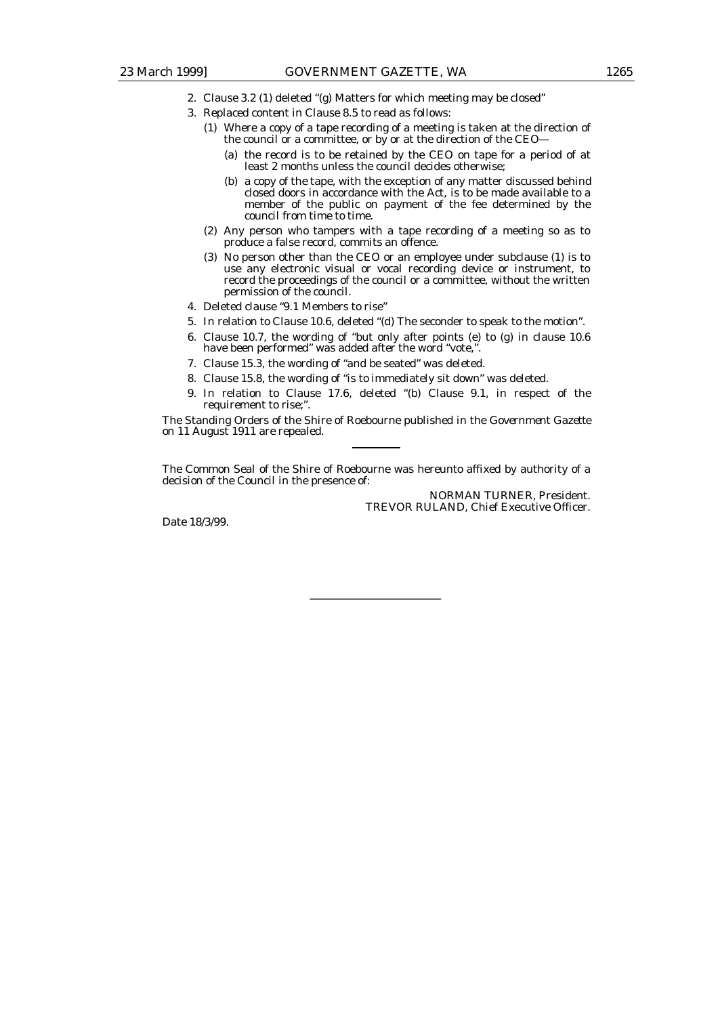- 2. Clause 3.2 (1) deleted "(g) Matters for which meeting may be closed"
- 3. Replaced content in Clause 8.5 to read as follows:
	- (1) Where a copy of a tape recording of a meeting is taken at the direction of the council or a committee, or by or at the direction of the CEO—
		- (a) the record is to be retained by the CEO on tape for a period of at least 2 months unless the council decides otherwise;
		- (b) a copy of the tape, with the exception of any matter discussed behind closed doors in accordance with the Act, is to be made available to a member of the public on payment of the fee determined by the council from time to time.
	- (2) Any person who tampers with a tape recording of a meeting so as to produce a false record, commits an offence.
	- (3) No person other than the CEO or an employee under subclause (1) is to use any electronic visual or vocal recording device or instrument, to record the proceedings of the council or a committee, without the written permission of the council.
- 4. Deleted clause "9.1 Members to rise"
- 5. In relation to Clause 10.6, deleted "(d) The seconder to speak to the motion".
- 6. Clause 10.7, the wording of "but only after points (e) to (g) in clause 10.6 have been performed" was added after the word "vote,".
- 7. Clause 15.3, the wording of "and be seated" was deleted.
- 8. Clause 15.8, the wording of "is to immediately sit down" was deleted.
- 9. In relation to Clause 17.6, deleted "(b) Clause 9.1, in respect of the requirement to rise;".

The Standing Orders of the Shire of Roebourne published in the *Government Gazette* on 11 August 1911 are repealed.

The Common Seal of the Shire of Roebourne was hereunto affixed by authority of a decision of the Council in the presence of:

> NORMAN TURNER, President. TREVOR RULAND, Chief Executive Officer.

Date 18/3/99.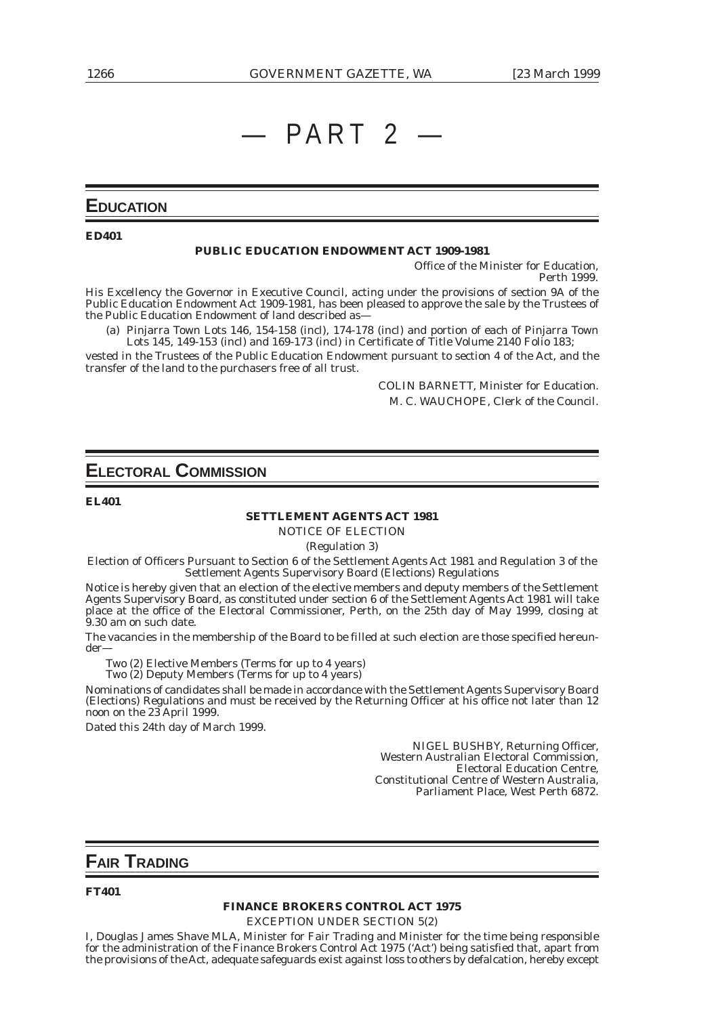## $-$  PART 2

## **EDUCATION**

#### **ED401**

#### **PUBLIC EDUCATION ENDOWMENT ACT 1909-1981**

Office of the Minister for Education, Perth 1999.

His Excellency the Governor in Executive Council, acting under the provisions of section 9A of the Public Education Endowment Act 1909-1981, has been pleased to approve the sale by the Trustees of the Public Education Endowment of land described as—

(a) Pinjarra Town Lots 146, 154-158 (incl), 174-178 (incl) and portion of each of Pinjarra Town Lots 145, 149-153 (incl) and 169-173 (incl) in Certificate of Title Volume 2140 Folio 183;

vested in the Trustees of the Public Education Endowment pursuant to section 4 of the Act, and the transfer of the land to the purchasers free of all trust.

> COLIN BARNETT, Minister for Education. M. C. WAUCHOPE, Clerk of the Council.

## **ELECTORAL COMMISSION**

**EL401**

### **SETTLEMENT AGENTS ACT 1981**

NOTICE OF ELECTION

(Regulation 3)

Election of Officers Pursuant to Section 6 of the Settlement Agents Act 1981 and Regulation 3 of the Settlement Agents Supervisory Board (Elections) Regulations

Notice is hereby given that an election of the elective members and deputy members of the Settlement Agents Supervisory Board, as constituted under section 6 of the Settlement Agents Act 1981 will take place at the office of the Electoral Commissioner, Perth, on the 25th day of May 1999, closing at 9.30 am on such date.

The vacancies in the membership of the Board to be filled at such election are those specified hereunder—

Two (2) Elective Members (Terms for up to 4 years)

Two (2) Deputy Members (Terms for up to 4 years)

Nominations of candidates shall be made in accordance with the Settlement Agents Supervisory Board (Elections) Regulations and must be received by the Returning Officer at his office not later than 12 noon on the 23 April 1999.

Dated this 24th day of March 1999.

NIGEL BUSHBY, Returning Officer, Western Australian Electoral Commission, Electoral Education Centre, Constitutional Centre of Western Australia, Parliament Place, West Perth 6872.

## **FAIR TRADING**

#### **FT401**

#### **FINANCE BROKERS CONTROL ACT 1975**

EXCEPTION UNDER SECTION 5(2)

I, Douglas James Shave MLA, Minister for Fair Trading and Minister for the time being responsible for the administration of the Finance Brokers Control Act 1975 ('Act') being satisfied that, apart from the provisions of the Act, adequate safeguards exist against loss to others by defalcation, hereby except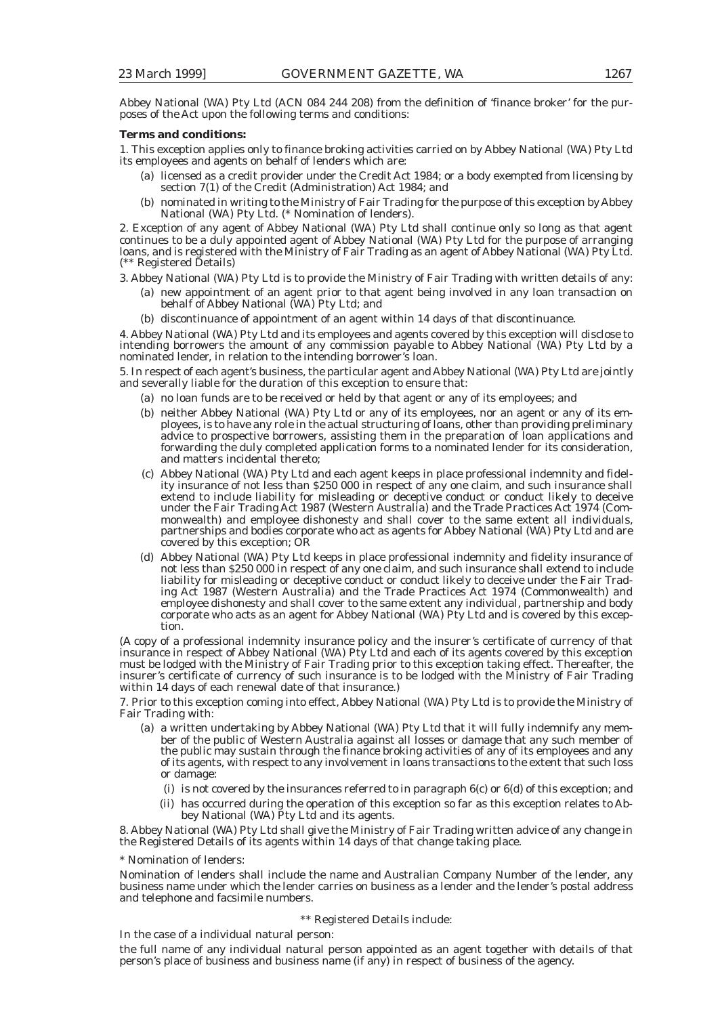Abbey National (WA) Pty Ltd (ACN 084 244 208) from the definition of 'finance broker' for the purposes of the Act upon the following terms and conditions:

#### **Terms and conditions:**

1. This exception applies only to finance broking activities carried on by Abbey National (WA) Pty Ltd its employees and agents on behalf of lenders which are:

- (a) licensed as a credit provider under the Credit Act 1984; or a body exempted from licensing by section 7(1) of the Credit (Administration) Act 1984; and
- (b) nominated in writing to the Ministry of Fair Trading for the purpose of this exception by Abbey National (WA) Pty Ltd. (\* Nomination of lenders).

2. Exception of any agent of Abbey National (WA) Pty Ltd shall continue only so long as that agent continues to be a duly appointed agent of Abbey National (WA) Pty Ltd for the purpose of arranging loans, and is registered with the Ministry of Fair Trading as an agent of Abbey National (WA) Pty Ltd. (\*\* Registered Details)

3. Abbey National (WA) Pty Ltd is to provide the Ministry of Fair Trading with written details of any:

- (a) new appointment of an agent prior to that agent being involved in any loan transaction on behalf of Abbey National (WA) Pty Ltd; and
- (b) discontinuance of appointment of an agent within 14 days of that discontinuance.

4. Abbey National (WA) Pty Ltd and its employees and agents covered by this exception will disclose to intending borrowers the amount of any commission payable to Abbey National (WA) Pty Ltd by a nominated lender, in relation to the intending borrower's loan.

5. In respect of each agent's business, the particular agent and Abbey National (WA) Pty Ltd are jointly and severally liable for the duration of this exception to ensure that:

- (a) no loan funds are to be received or held by that agent or any of its employees; and
- (b) neither Abbey National (WA) Pty Ltd or any of its employees, nor an agent or any of its employees, is to have any role in the actual structuring of loans, other than providing preliminary advice to prospective borrowers, assisting them in the preparation of loan applications and forwarding the duly completed application forms to a nominated lender for its consideration, and matters incidental thereto;
- (c) Abbey National (WA) Pty Ltd and each agent keeps in place professional indemnity and fidelity insurance of not less than \$250 000 in respect of any one claim, and such insurance shall extend to include liability for misleading or deceptive conduct or conduct likely to deceive under the Fair Trading Act 1987 (Western Australia) and the Trade Practices Act 1974 (Commonwealth) and employee dishonesty and shall cover to the same extent all individuals, partnerships and bodies corporate who act as agents for Abbey National (WA) Pty Ltd and are covered by this exception; OR
- (d) Abbey National (WA) Pty Ltd keeps in place professional indemnity and fidelity insurance of not less than \$250 000 in respect of any one claim, and such insurance shall extend to include liability for misleading or deceptive conduct or conduct likely to deceive under the Fair Trading Act 1987 (Western Australia) and the Trade Practices Act 1974 (Commonwealth) and employee dishonesty and shall cover to the same extent any individual, partnership and body corporate who acts as an agent for Abbey National (WA) Pty Ltd and is covered by this exception.

(A copy of a professional indemnity insurance policy and the insurer's certificate of currency of that insurance in respect of Abbey National (WA) Pty Ltd and each of its agents covered by this exception must be lodged with the Ministry of Fair Trading prior to this exception taking effect. Thereafter, the insurer's certificate of currency of such insurance is to be lodged with the Ministry of Fair Trading within 14 days of each renewal date of that insurance.)

7. Prior to this exception coming into effect, Abbey National (WA) Pty Ltd is to provide the Ministry of Fair Trading with:

- (a) a written undertaking by Abbey National (WA) Pty Ltd that it will fully indemnify any member of the public of Western Australia against all losses or damage that any such member of the public may sustain through the finance broking activities of any of its employees and any of its agents, with respect to any involvement in loans transactions to the extent that such loss or damage:
	- (i) is not covered by the insurances referred to in paragraph 6(c) or 6(d) of this exception; and
	- (ii) has occurred during the operation of this exception so far as this exception relates to Abbey National (WA) Pty Ltd and its agents.

8. Abbey National (WA) Pty Ltd shall give the Ministry of Fair Trading written advice of any change in the Registered Details of its agents within 14 days of that change taking place.

\* Nomination of lenders:

Nomination of lenders shall include the name and Australian Company Number of the lender, any business name under which the lender carries on business as a lender and the lender's postal address and telephone and facsimile numbers.

#### \*\* Registered Details include:

In the case of a individual natural person:

the full name of any individual natural person appointed as an agent together with details of that person's place of business and business name (if any) in respect of business of the agency.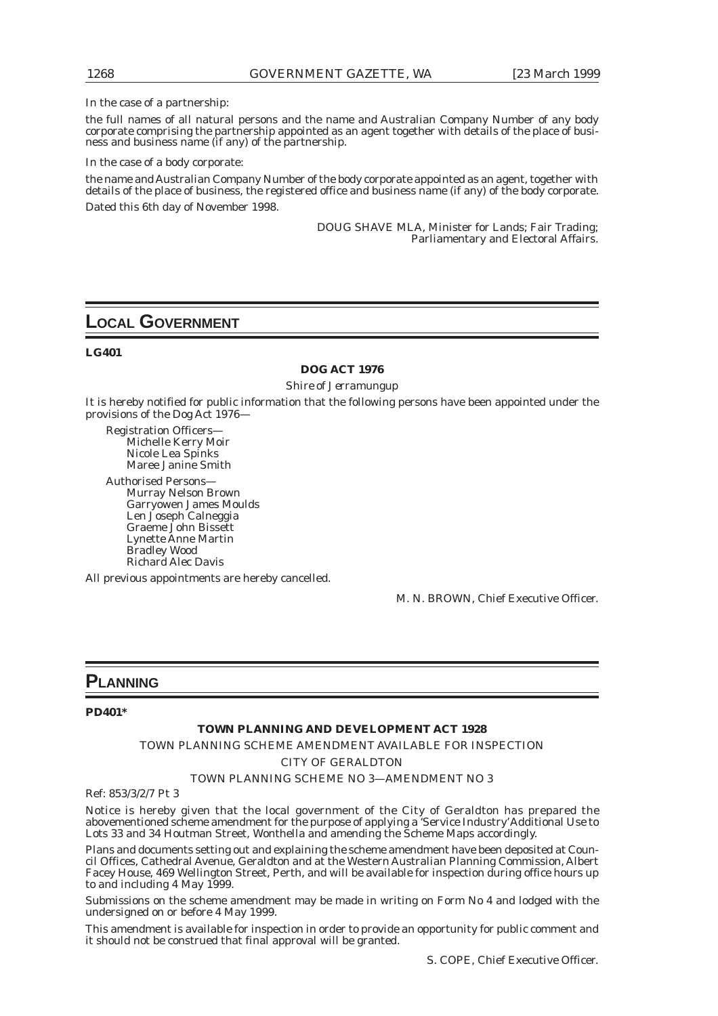#### In the case of a partnership:

the full names of all natural persons and the name and Australian Company Number of any body corporate comprising the partnership appointed as an agent together with details of the place of business and business name (if any) of the partnership.

In the case of a body corporate:

the name and Australian Company Number of the body corporate appointed as an agent, together with details of the place of business, the registered office and business name (if any) of the body corporate. Dated this 6th day of November 1998.

> DOUG SHAVE MLA, Minister for Lands; Fair Trading; Parliamentary and Electoral Affairs.

## **LOCAL GOVERNMENT**

#### **LG401**

#### **DOG ACT 1976**

*Shire of Jerramungup*

It is hereby notified for public information that the following persons have been appointed under the provisions of the Dog Act 1976—

Registration Officers— Michelle Kerry Moir Nicole Lea Spinks Maree Janine Smith

Authorised Persons— Murray Nelson Brown Garryowen James Moulds Len Joseph Calneggia Graeme John Bissett Lynette Anne Martin Bradley Wood Richard Alec Davis

All previous appointments are hereby cancelled.

M. N. BROWN, Chief Executive Officer.

## **PLANNING**

#### **PD401\***

#### **TOWN PLANNING AND DEVELOPMENT ACT 1928**

TOWN PLANNING SCHEME AMENDMENT AVAILABLE FOR INSPECTION

*CITY OF GERALDTON*

#### TOWN PLANNING SCHEME NO 3—AMENDMENT NO 3

Ref: 853/3/2/7 Pt 3

Notice is hereby given that the local government of the City of Geraldton has prepared the abovementioned scheme amendment for the purpose of applying a 'Service Industry' Additional Use to Lots 33 and 34 Houtman Street, Wonthella and amending the Scheme Maps accordingly.

Plans and documents setting out and explaining the scheme amendment have been deposited at Council Offices, Cathedral Avenue, Geraldton and at the Western Australian Planning Commission, Albert Facey House, 469 Wellington Street, Perth, and will be available for inspection during office hours up to and including 4 May 1999.

Submissions on the scheme amendment may be made in writing on Form No 4 and lodged with the undersigned on or before 4 May 1999.

This amendment is available for inspection in order to provide an opportunity for public comment and it should not be construed that final approval will be granted.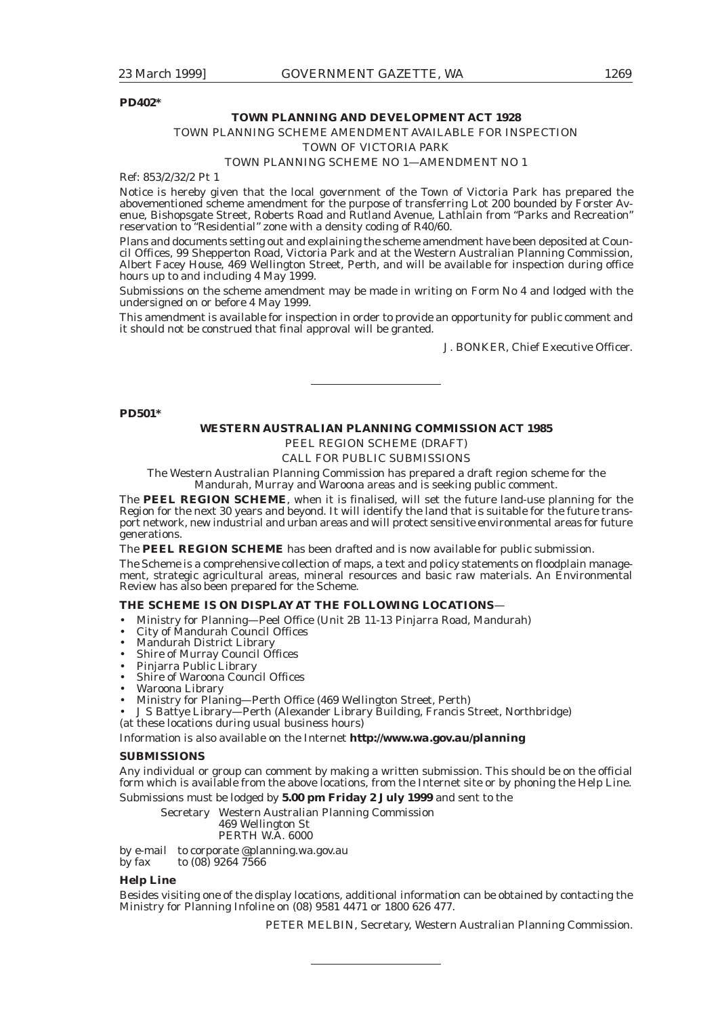#### **PD402\***

#### **TOWN PLANNING AND DEVELOPMENT ACT 1928**

### TOWN PLANNING SCHEME AMENDMENT AVAILABLE FOR INSPECTION

*TOWN OF VICTORIA PARK*

#### TOWN PLANNING SCHEME NO 1—AMENDMENT NO 1

Ref: 853/2/32/2 Pt 1

Notice is hereby given that the local government of the Town of Victoria Park has prepared the abovementioned scheme amendment for the purpose of transferring Lot 200 bounded by Forster Avenue, Bishopsgate Street, Roberts Road and Rutland Avenue, Lathlain from "Parks and Recreation" reservation to "Residential" zone with a density coding of R40/60.

Plans and documents setting out and explaining the scheme amendment have been deposited at Council Offices, 99 Shepperton Road, Victoria Park and at the Western Australian Planning Commission, Albert Facey House, 469 Wellington Street, Perth, and will be available for inspection during office hours up to and including 4 May 1999.

Submissions on the scheme amendment may be made in writing on Form No 4 and lodged with the undersigned on or before 4 May 1999.

This amendment is available for inspection in order to provide an opportunity for public comment and it should not be construed that final approval will be granted.

J. BONKER, Chief Executive Officer.

#### **PD501\***

#### **WESTERN AUSTRALIAN PLANNING COMMISSION ACT 1985**

PEEL REGION SCHEME (DRAFT)

CALL FOR PUBLIC SUBMISSIONS

The Western Australian Planning Commission has prepared a draft region scheme for the Mandurah, Murray and Waroona areas and is seeking public comment.

The **PEEL REGION SCHEME**, when it is finalised, will set the future land-use planning for the Region for the next 30 years and beyond. It will identify the land that is suitable for the future transport network, new industrial and urban areas and will protect sensitive environmental areas for future generations.

The **PEEL REGION SCHEME** has been drafted and is now available for public submission.

The Scheme is a comprehensive collection of maps, a text and policy statements on floodplain management, strategic agricultural areas, mineral resources and basic raw materials. An Environmental Review has also been prepared for the Scheme.

#### **THE SCHEME IS ON DISPLAY AT THE FOLLOWING LOCATIONS**—

- Ministry for Planning—Peel Office (Unit 2B 11-13 Pinjarra Road, Mandurah)
- City of Mandurah Council Offices
- Mandurah District Library
- Shire of Murray Council Offices
- Pinjarra Public Library
- Shire of Waroona Council Offices
- Waroona Library
- Ministry for Planing—Perth Office (469 Wellington Street, Perth)

• J S Battye Library—Perth (Alexander Library Building, Francis Street, Northbridge) (at these locations during usual business hours)

Information is also available on the Internet *http://www.wa.gov.au/planning*

#### **SUBMISSIONS**

Any individual or group can comment by making a written submission. This should be on the official form which is available from the above locations, from the Internet site or by phoning the Help Line.

Submissions must be lodged by **5.00 pm Friday 2 July 1999** and sent to the

Secretary Western Australian Planning Commission 469 Wellington St

#### PERTH W.A. 6000

by e-mail to corporate @planning.wa.gov.au by fax to  $(08)$  9264 7566

#### **Help Line**

Besides visiting one of the display locations, additional information can be obtained by contacting the Ministry for Planning Infoline on (08) 9581 4471 or 1800 626 477.

PETER MELBIN, Secretary, Western Australian Planning Commission.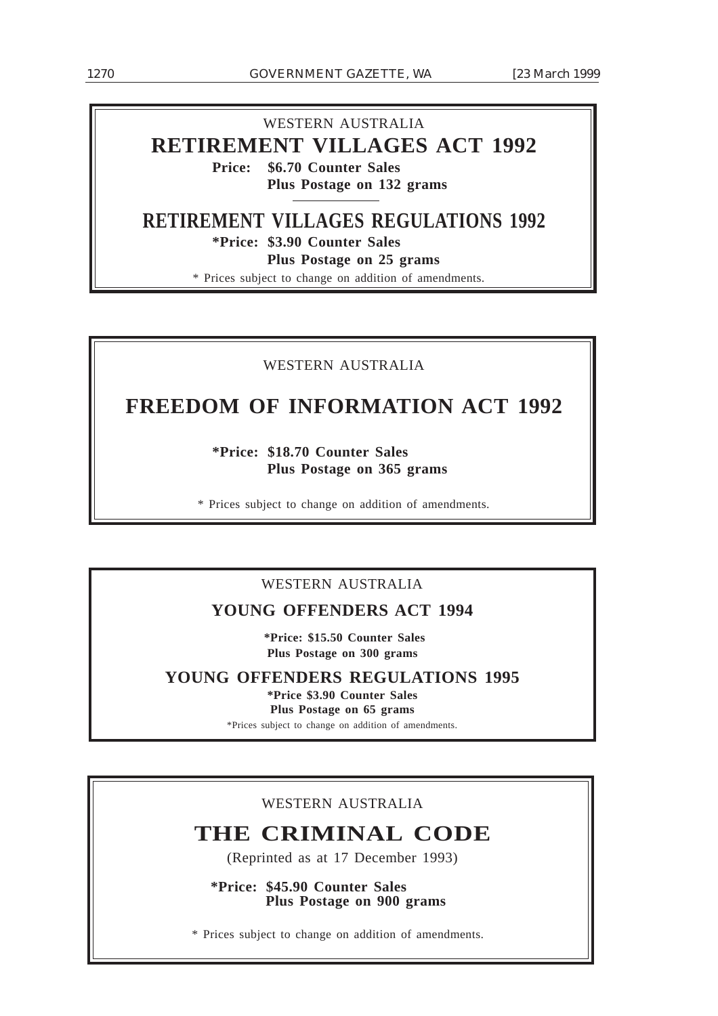### WESTERN AUSTRALIA

## **RETIREMENT VILLAGES ACT 1992**

**Price: \$6.70 Counter Sales Plus Postage on 132 grams**

## **RETIREMENT VILLAGES REGULATIONS 1992**

**\*Price: \$3.90 Counter Sales**

**Plus Postage on 25 grams**

\* Prices subject to change on addition of amendments.

## WESTERN AUSTRALIA

## **FREEDOM OF INFORMATION ACT 1992**

**\*Price: \$18.70 Counter Sales Plus Postage on 365 grams**

\* Prices subject to change on addition of amendments.

## WESTERN AUSTRALIA

## **YOUNG OFFENDERS ACT 1994**

 **\*Price: \$15.50 Counter Sales Plus Postage on 300 grams**

**YOUNG OFFENDERS REGULATIONS 1995**

**\*Price \$3.90 Counter Sales Plus Postage on 65 grams** \*Prices subject to change on addition of amendments.

## WESTERN AUSTRALIA

## **THE CRIMINAL CODE**

(Reprinted as at 17 December 1993)

**\*Price: \$45.90 Counter Sales Plus Postage on 900 grams**

\* Prices subject to change on addition of amendments.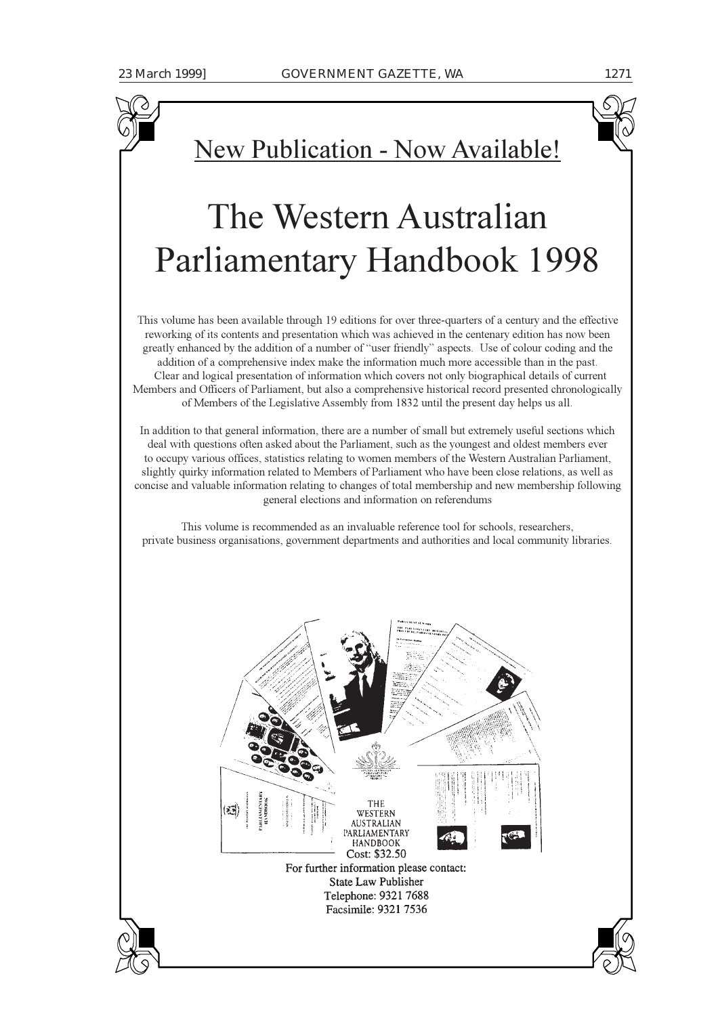

# The Western Australian Parliamentary Handbook 1998

This volume has been available through 19 editions for over three-quarters of a century and the effective reworking of its contents and presentation which was achieved in the centenary edition has now been greatly enhanced by the addition of a number of "user friendly" aspects. Use of colour coding and the addition of a comprehensive index make the information much more accessible than in the past. Clear and logical presentation of information which covers not only biographical details of current Members and Officers of Parliament, but also a comprehensive historical record presented chronologically of Members of the Legislative Assembly from 1832 until the present day helps us all.

In addition to that general information, there are a number of small but extremely useful sections which deal with questions often asked about the Parliament, such as the youngest and oldest members ever to occupy various offices, statistics relating to women members of the Western Australian Parliament, slightly quirky information related to Members of Parliament who have been close relations, as well as concise and valuable information relating to changes of total membership and new membership following general elections and information on referendums

This volume is recommended as an invaluable reference tool for schools, researchers, private business organisations, government departments and authorities and local community libraries.